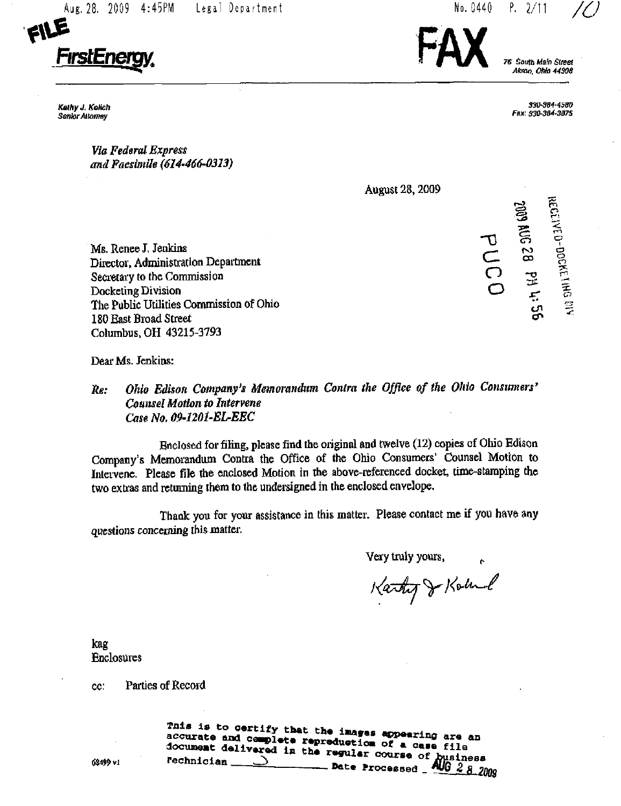Aug. 28. 2009 4:45PM Legal Department



Kathy J. KoHch Senior Attorney

76, South Main Street Akron. Ohio 44308

 $P. 2/11$ 

No. 0440

330-384-4580 Fax; S30-3a4-3a75

 $\tilde{\Xi}$ 

 $\tilde{\vec{c}}$ e  $\breve{\circ}$ 

 $\sigma$  "

 $\overline{\phantom{a}}$  $\overline{\phantom{a}}$ 

SOM 6002

 $\mathcal{S}$ 

- 0

..<br>ລ cn

O o

Via Federal Express and Facsimile (614-466-0313)

August 28,2009

Ms. Renee J. Jenkins Director, Administration Department Secretary to the Commission Docketing Division The Public Utilities Commission of Ohio 180 East Broad Street Columbus, OH 43215-3793

Dear Ms. Jenkins:

# Re: Ohio Edison Company's Memorandum Contra the Office of the Ohio Consumers' Counsel Motion to Intervene Case No. 09-12Q1-EL-EEC

Enclosed for filing, please find the original and twelve (12) copies of Ohio Edison Company's Memorandum Contra the Office of the Ohio Consumers' Counsel Motion to Intervene. Please file the enclosed Motion in the above-referenced docket, ume-staraping the two extras and retuming ihem to the undersigned in the enclosed envelope.

Thank you for your assistance in this matter. Please contact me if you have any questions concerning this matter.

Very truly yours,

Kathy J Koland

kag Enclosures

cc: Paities of Record

document delivered in the same of a case file  $\frac{1}{2}$  Date Processed  $\frac{1}{2}$   $\frac{1}{2}$   $\frac{1}{2}$   $\frac{2}{2}$   $\frac{2}{2}$   $\frac{2}{2}$   $\frac{2}{2}$   $\frac{2}{2}$   $\frac{2}{2}$   $\frac{2}{2}$   $\frac{2}{2}$   $\frac{2}{2}$   $\frac{2}{2}$   $\frac{2}{2}$   $\frac{2}{2}$   $\frac{2}{2}$   $\frac{2}{2}$   $\frac{2}{2}$   $\frac{2}{2}$   $\frac{2}{$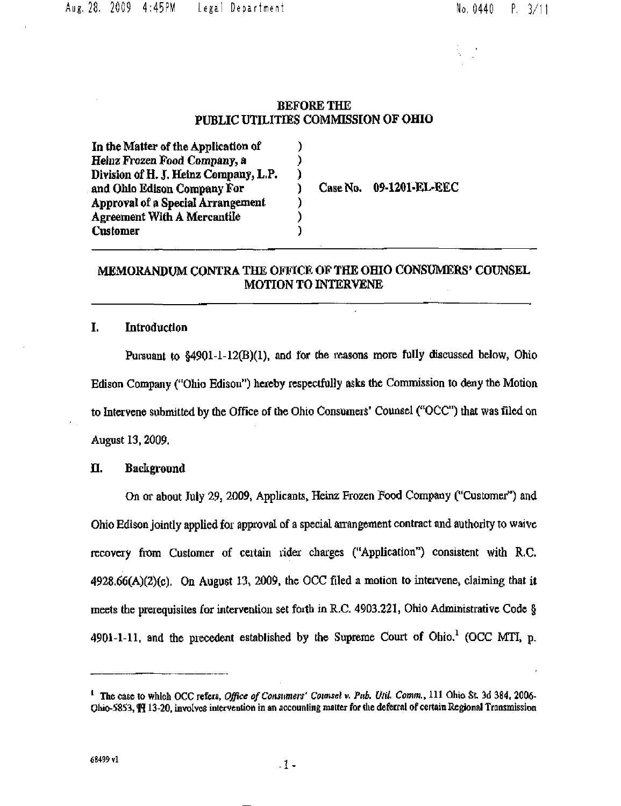#### BEFORE THE PUBLIC UTILITIES COMMISSION OF OHIO

 $\lambda$  $\mathcal{Y}$ ) ì ١

)

In the Matter of the Application of Heinz Frozen Pood Company, a Division of H. J. Heinz Company, L.P, and Ohio Edison Company For Approval of a Special Arrangement Agreement With A Mercantile Customer

Case No. 09-1201-EL-EEC

# MEMORANDUM CONTRA THE OFFICE OF THE OHIO CONSUMERS' COUNSEL MOTION TO INTERVENE

#### I. Introduction

Pursuant to §4901-1-12(B)(1), and for the reasons more fully discussed below, Ohio Edison Company ("Ohio Edison") hereby rcspeclfully asks the Commission to deny the Motion to Intervene submitted by the Office of the Ohio Consumers' Counsel ("OCC") that was filed on August 13.2009.

#### H. Background

On or about July 29, 2009, Apphcants, Heinz Frozen Food Company ("Customer\*') and Ohio Edison jointly applied for approval of a special arrangement contract and authority to waive recovery from Customer of certain rider charges ("Application") consistent with  $R.C.$  $4928.66(A)(2)(c)$ . On August 13, 2009, the OCC filed a motion to intervene, claiming that it meets the prerequisites for intervention set forth in R.C. 4903.221, Ohio Administrative Code § 4901-1-11, and the precedent established by the Supreme Court of Ohio.<sup>1</sup> (OCC MTI, p.

 $^1$  The case to which OCC refers. Office of Consumers' Counsel v. Pub. Util. Comm., 111 Ohio St. 3d 384, 2006-Ohio-5853, III 13-20, involves intervention in an accounting matter for the deferral of certain Regional Transmission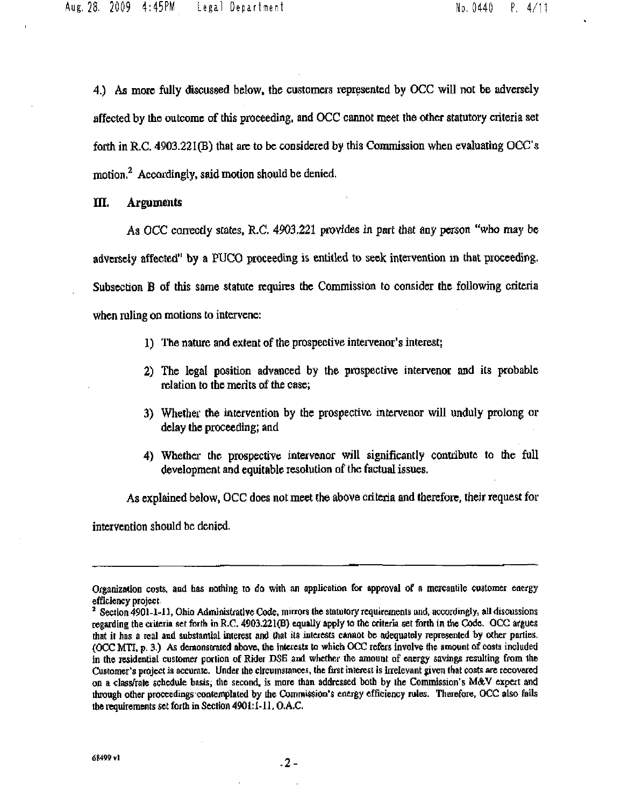4.) As more fully discussed below, the customers represented by OCC will not be adversely affected by the outcome of this proceeding, and OCC cannot meet the other statutory criteria set forth in R.C. 4903,221(B) that are to be considered by this Commission when evaluating OCC's motion.<sup>2</sup> Accordingly, said motion should be denied.

IIL Arguments

As OCC correctly states, R.C. 4903.221 provides in part that any person "who may be adversely affected" by a PUCO proceeding is entitled to seek intervention in that proceeding. Subsection B of this same statute requires the Commission to consider the following criteria when ruling on motions to intervene:

- 1) The nature and extent of the prospective intervenor's interest;
- 2) The legal position advanced by the praspective intervcnor and its probable relation to the merits of the case;
- 3) Whether the intervention by the prospective intervener will unduly prolong or delay the proceeding; and
- 4) Whethci- the prospective intervenor will significantly contribute to the full development and equitable resolution of the factual issues.

As explained below, OCC does not meet the above criteria and therefore, their request for

intervention should be denied.

Organization costs, and has nothing to do with an application for approval of a mercantile customer energy efficiency project

 $^2$  Section 4901-1-11, Ohio Administrative Code, mirrors the statutory requirements and, accordingly, all discussions regarding the criteria set forth in R.C. 4903.221(B) equally apply to the criteria set forth in the Code. OCC argues that it has a real and substantial interest and that its interests cannot be adequately represented by other parties. (OCC MTI, p. 3.) As demonstrated above, the interests to which OCC refers involve the amount of costs included in the residential customer portion of Rider DSE and whether the amount of energy savings resulting from the Customer's project is accurate. Under the circumstances, the first interest is irrelevant given that costs are recovered on a class/rale schedule basis; tlie second, is more than addressed both by the Commission's MA^V expert and through other proceedings contemplated by the Commission's energy efficiency rules. Therefore, OCC also fails the requirements set forth in Section 4901:1-11. O.A.C.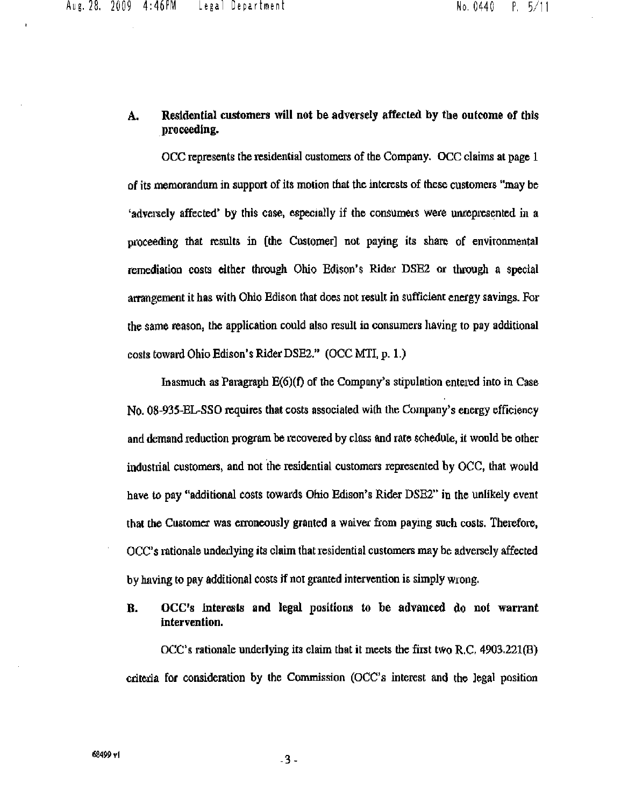### A. Residential customers will not be adversely affected by the outcome of this proceeding.

OCC represents the residential customers of the Company. OCC claims at page 1 of its memorandum in support of its motion that the interests of these customers "may be 'adversely affected\* by this case, especially if the consumers were unfepresented in a proceeding that results in [the Customer] not paying its share of envitonmental remediation costs either through Ohio Edison's Rider DSE2 or through a special arrangement it has with Ohio Edison that does not result in sufficient energy savings. For the same reason, the application could also result in consumers having to pay additional costs toward Ohio Edison's Rider DSE2." (OCC MTI, p. 1.)

Inasmuch as Paragraph E(6)(f) of the Company\*s stipulation entered into in Case No. 08-935-EL-SSO requires that costs associated with the Company\*s energy efficiency and demand reduction program be recovered by class and rate schedule, it would be other industrial customers, and not the residential customers represented by OCC, that would have to pay "additional costs towards Ohio Edison's Rider DSE2" in the unlikely event that the Customer was erroneously granted a waiver from paying such costs. Therefore, OCC\*s rationale underlying its claim that residential customers may be adversely affected by having to pay additional costs if not granted intervention is simply wrong.

B. OCC's Interests and legal positions to be advanced do not warrant intervention.

OCC's rationale underlying its claim that it meets the first two R.C, 4903.221(B) criteria for consideration by the Commission (OCC's interest and the legal position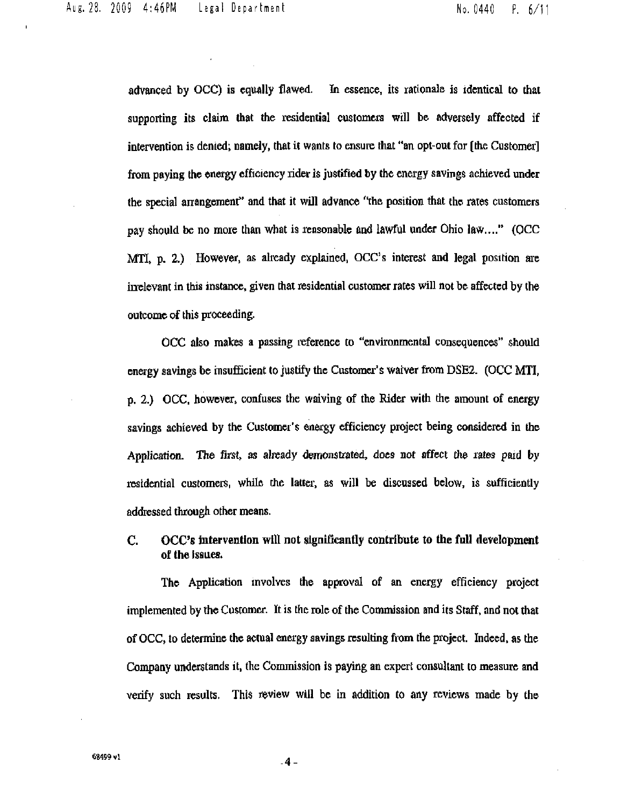Aug. 28, 2009 4:46PM Legal Department No. 0440 P. 6/1

advanced by OCC) is equally flawed. In essence, its rationale is identical to thai supporting its claim that the residential customers will be adversely affected if intervention is denied; namely, that it wants to ensure that "an opt-out for [the Customer] from paying the energy efficiency rider is justified by the energy savings achieved under the special anangement" and that it will advance "the position that the rates customers pay should be no more than what is reasonable and lawful under Ohio law...." (OCC MTI, p. 2.) However, as already explained, OCC's interest and legal position are in relevant in this instance, given that residential customer rates will not be affected by the outcome of this proceeding.

OCC also malces a passing reference to "environmental consequences" should energy savings be insufficient to justify the Customer's waiver from DSE2. (OCC MTI, p, 2.) OCC. however, confuses the waiving of the Rider with the amount of energy savings achieved by the Customer's energy efficiency project being considered in the Application. The first, as already demonstrated, does not affect the rates paid by residential customers, while the latter, as will be discussed below, is sufficiently addiessed through other means.

## C. OCC's intervention will not significantly contribute to the full development of the issues.

The Application involves the approval of an energy efficiency project implemented by the Customer. It is the role of the Commission and its Staff, and not that of OCC, to determine the actual energy savings resulting from the project. Indeed, as the Company understands it, the Commission is paying an expert consultant to measure and verify such results. This review will be in addition to any reviews made by the

 $-4-$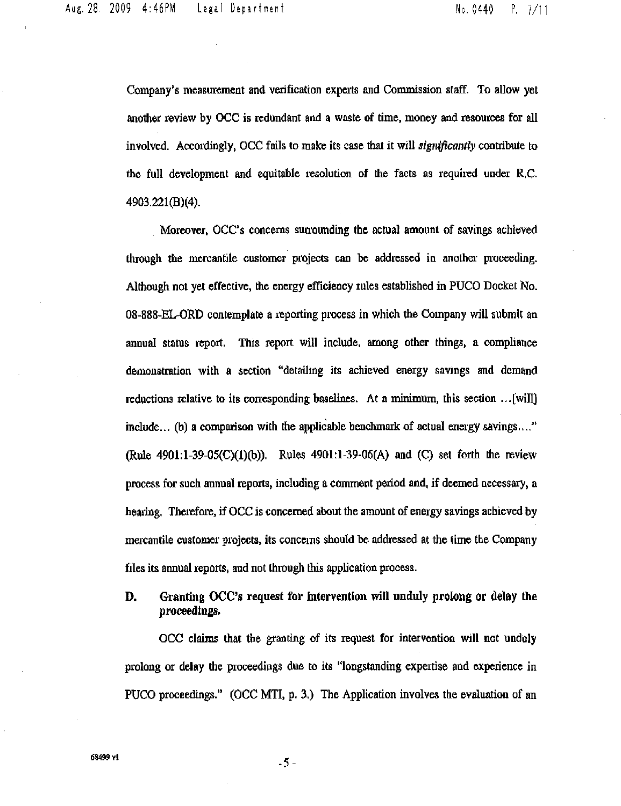Company's measurement and verification experts and Commission staff. To allow yet another review by OCC is redundant and a waste of time, money and resources for all involved. Accordingly, OCC fails to make its case that it will significantly contribute to the full development and equitable resolution of the facts as required under R.C. 4903.221(B)(4).

Moreover, OCC's concerns surrounding the actual amount of savings achieved through the mercantile customer projects can be addressed in another proceeding. Although not yet effective, the energy efficiency rules established in PUCO Docket No. 08-888-EL-ORD contemplate a reporting process in which the Company will submit an annual status report. This report will include, among other things, a compliance demonstration with a section "detailing its achieved energy savings and demand reductions relative to its corresponding baselines. At a minimum, this section  $\ldots$  [will] include... (b) a comparison with the apphcable benchmark of actual energy savings,..." (Rule 4901:1-39-05(C)(1)(b)). Rules 4901:1-39-06(A) and (C) set forth the review process for such annual reports, including a comment period and, if deemed necessary, a hearing. Therefore, if OCC is concerned about the amount of energy savings achieved by mercantile customer projects, its concerns should be addressed at the time the Company files its annual reports, and not through this application process.

# D. Granting OCC's request for intervention will unduly prolong or delay the proceedings.

OCC claims that the granting of its request for intervention will not unduly prolong or delay the proceedings due co its "longstanding expertise and experience in PUCO proceedings." (OCC MTI, p. 3.) The Application involves the evaluation of an

 $-5 -$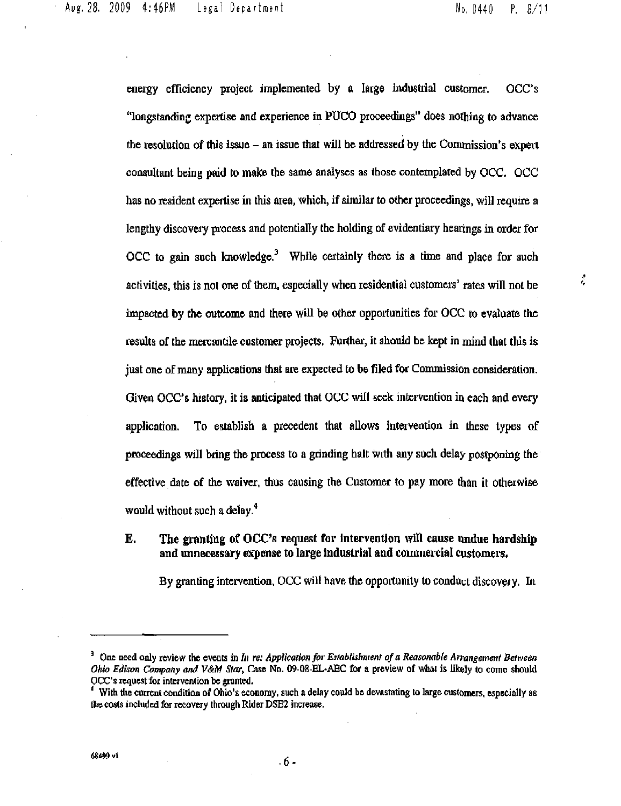ţ,

energy efficiency project implemented by a large industrial customer. OCC's "longstanding expertise and experience in PUCO proceedings" does nothing to advance the resolution of this issue - an issue that will be addressed by the Commission's expert consultant being paid to make the same analyses as those contemplated by OCC. OCC has no resident expertise in this area, which, if similar to other proceedings, will require a lengthy discovery process and potentially the holding of evidentiary hearings in order for  $OCC$  to gain such knowledge.<sup>3</sup> While certainly there is a time and place for such activities, this is not one of them, especially when residential customers' rates will not be impacted by the outcome and there will be other opportunities for OCC to evaluate the results of the mercantile customer projects. Further, it should be kept in mind that this is just one of many applications that are expected to be filed for Commission consideration. Given OCC's history, it is anticipated that OCC will seek intervention in each and every application. To establish a precedent that allows intervention in these types of proceedings will bring the process to a grinding halt with any such delay postponing the effective date of the waiver, thus causing the Customer to pay more than it otherwise would without such a delay.<sup>4</sup>

# E. The granting of OCC's request for intervention will cause undue hardship and unnecessary expense to large industrial and commercial customers,

By granting intervention, OCC will have the opportunity to conduct discovery. In

<sup>&</sup>lt;sup>3</sup> One need only review the events in In re: Application for Establishment of a Reasonable Arrangement Between Ohio Edison Company and V&M Star, Case No. 09-08-EL-AEC for a preview of what is likely to come should OCC's request for intervention be granted.

<sup>&</sup>lt;sup>4</sup> With the current condition of Ohio's economy, such a delay could be devastating to large customers, especially as the costs included for recovery through Rider DSE2 increase.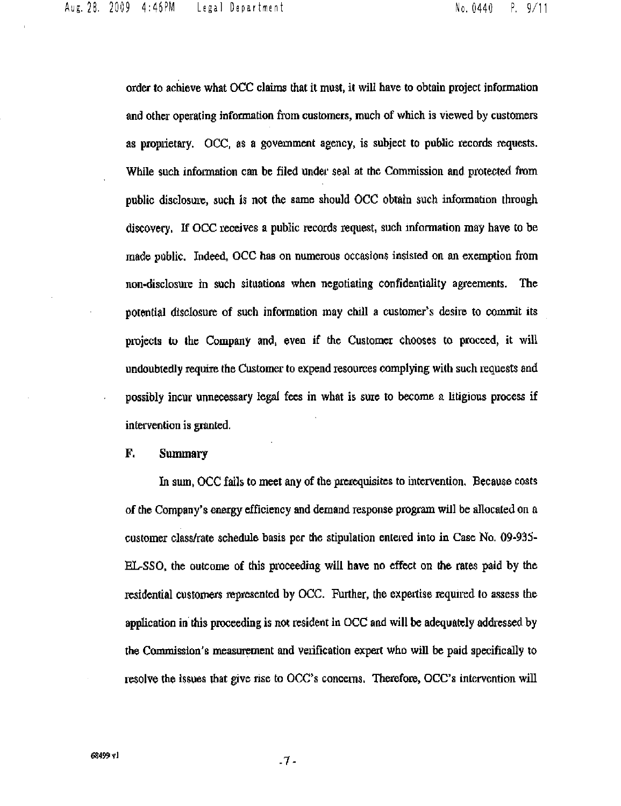order to achieve what OCC claims that il must, it will have to obtain project information and other operating information from customers, much of which is viewed by customers as proprietary. OCC, as a government agency, is subject to public records requests. While such information can be filed under seal at the Commission and protected from public disclosure, such is not the same should OCC obtain such information through discovery. If OCC receives a public records request, such information may have to be made public. Indeed, OCC has on numerous occasions insisted on an exemption from non-disclosure in such situations when negotiating confidentiality agreements. The potential disclosure of such information may chill a customer's desire to commit its projects to the Company and, even if the Customer chooses to proceed^ it will undoubtedly require the Customer to expend resources complying with such requests and possibly incur unnecessary legal fees in what is sure to become a htigious process if intervention is granted.

#### F. Summary

In sum, OCC fails to meet any of the prerequisites to intervention. Because costs of the Company's energy efficiency and demand response program will be allocated on a customer class/rate schedule basis per the stipulation entered into in Case No. 09-935-EL-SSO, the outcome of this proceeding will have no effect on the rates paid by the residential customers represented by OCC. Further, the expeitise required to assess the application in this proceeding is not resident in OCC and will be adequately addressed by the Commission's measurement and veiification expert who will be paid specifically to resolve the issues that give rise to OCC's concerns. Therefore, OCC's intervention will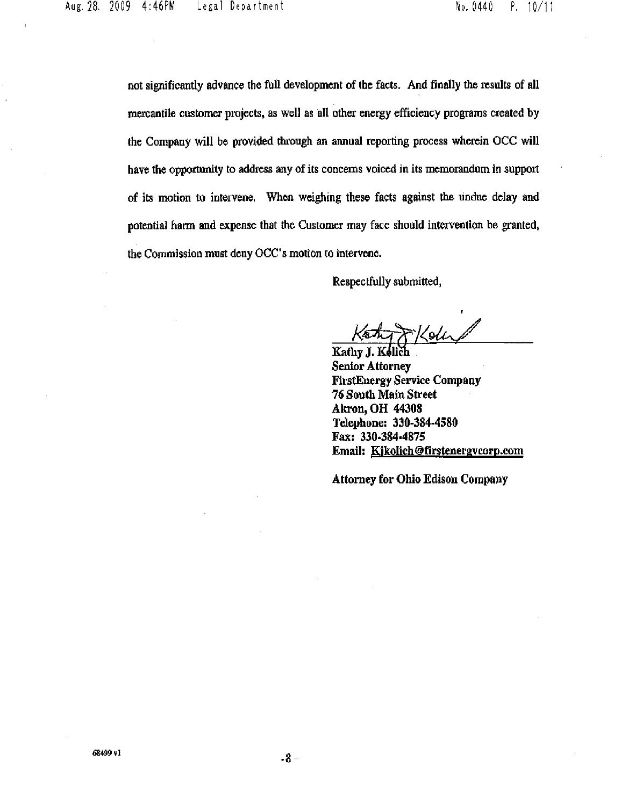not significantly advance the full development of the facts. And finally the results of all mereantile customer projects, as well as all other energy efficiency programs created by the Company will be provided through an annual reporting process wherein OCC will have the opportunity to address any of its concerns voiced in its memorandum in support of its motion to intervene. When weighing these facts against the undue delay and potential harm and expense that the Customer may face should intervention be granted, the Commission must deny OCC's motion to intervene.

Respectfully submitted,

\*Koh

Kathy J. Senior Attorney FirstEnergy Service Company 76 South Main Street Akron, OH 4430S Telephone; 330-384-4580 Fax: 330-384-4875 Email: Kikolich@firstenergycorp.com

Attorney for Ohio Edison Company